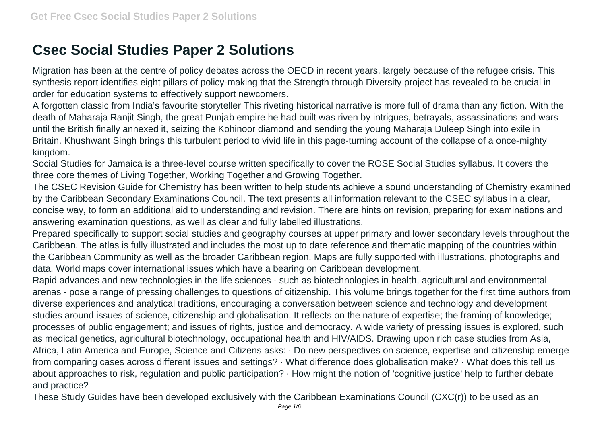## **Csec Social Studies Paper 2 Solutions**

Migration has been at the centre of policy debates across the OECD in recent years, largely because of the refugee crisis. This synthesis report identifies eight pillars of policy-making that the Strength through Diversity project has revealed to be crucial in order for education systems to effectively support newcomers.

A forgotten classic from India's favourite storyteller This riveting historical narrative is more full of drama than any fiction. With the death of Maharaja Ranjit Singh, the great Punjab empire he had built was riven by intrigues, betrayals, assassinations and wars until the British finally annexed it, seizing the Kohinoor diamond and sending the young Maharaja Duleep Singh into exile in Britain. Khushwant Singh brings this turbulent period to vivid life in this page-turning account of the collapse of a once-mighty kingdom.

Social Studies for Jamaica is a three-level course written specifically to cover the ROSE Social Studies syllabus. It covers the three core themes of Living Together, Working Together and Growing Together.

The CSEC Revision Guide for Chemistry has been written to help students achieve a sound understanding of Chemistry examined by the Caribbean Secondary Examinations Council. The text presents all information relevant to the CSEC syllabus in a clear, concise way, to form an additional aid to understanding and revision. There are hints on revision, preparing for examinations and answering examination questions, as well as clear and fully labelled illustrations.

Prepared specifically to support social studies and geography courses at upper primary and lower secondary levels throughout the Caribbean. The atlas is fully illustrated and includes the most up to date reference and thematic mapping of the countries within the Caribbean Community as well as the broader Caribbean region. Maps are fully supported with illustrations, photographs and data. World maps cover international issues which have a bearing on Caribbean development.

Rapid advances and new technologies in the life sciences - such as biotechnologies in health, agricultural and environmental arenas - pose a range of pressing challenges to questions of citizenship. This volume brings together for the first time authors from diverse experiences and analytical traditions, encouraging a conversation between science and technology and development studies around issues of science, citizenship and globalisation. It reflects on the nature of expertise; the framing of knowledge; processes of public engagement; and issues of rights, justice and democracy. A wide variety of pressing issues is explored, such as medical genetics, agricultural biotechnology, occupational health and HIV/AIDS. Drawing upon rich case studies from Asia, Africa, Latin America and Europe, Science and Citizens asks: · Do new perspectives on science, expertise and citizenship emerge from comparing cases across different issues and settings? · What difference does globalisation make? · What does this tell us about approaches to risk, regulation and public participation? · How might the notion of 'cognitive justice' help to further debate and practice?

These Study Guides have been developed exclusively with the Caribbean Examinations Council (CXC(r)) to be used as an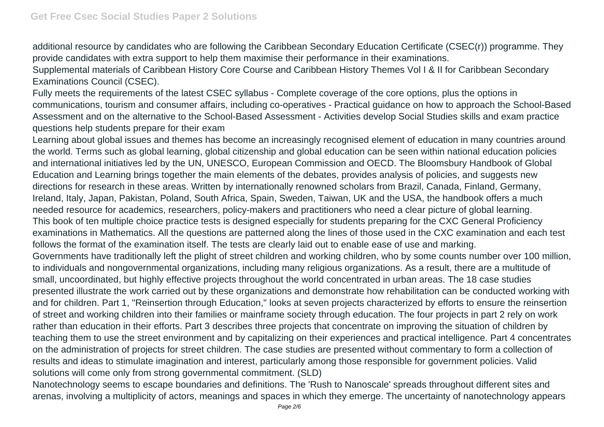additional resource by candidates who are following the Caribbean Secondary Education Certificate (CSEC(r)) programme. They provide candidates with extra support to help them maximise their performance in their examinations.

Supplemental materials of Caribbean History Core Course and Caribbean History Themes Vol I & II for Caribbean Secondary Examinations Council (CSEC).

Fully meets the requirements of the latest CSEC syllabus - Complete coverage of the core options, plus the options in communications, tourism and consumer affairs, including co-operatives - Practical guidance on how to approach the School-Based Assessment and on the alternative to the School-Based Assessment - Activities develop Social Studies skills and exam practice questions help students prepare for their exam

Learning about global issues and themes has become an increasingly recognised element of education in many countries around the world. Terms such as global learning, global citizenship and global education can be seen within national education policies and international initiatives led by the UN, UNESCO, European Commission and OECD. The Bloomsbury Handbook of Global Education and Learning brings together the main elements of the debates, provides analysis of policies, and suggests new directions for research in these areas. Written by internationally renowned scholars from Brazil, Canada, Finland, Germany, Ireland, Italy, Japan, Pakistan, Poland, South Africa, Spain, Sweden, Taiwan, UK and the USA, the handbook offers a much needed resource for academics, researchers, policy-makers and practitioners who need a clear picture of global learning. This book of ten multiple choice practice tests is designed especially for students preparing for the CXC General Proficiency examinations in Mathematics. All the questions are patterned along the lines of those used in the CXC examination and each test follows the format of the examination itself. The tests are clearly laid out to enable ease of use and marking. Governments have traditionally left the plight of street children and working children, who by some counts number over 100 million, to individuals and nongovernmental organizations, including many religious organizations. As a result, there are a multitude of small, uncoordinated, but highly effective projects throughout the world concentrated in urban areas. The 18 case studies presented illustrate the work carried out by these organizations and demonstrate how rehabilitation can be conducted working with and for children. Part 1, "Reinsertion through Education," looks at seven projects characterized by efforts to ensure the reinsertion of street and working children into their families or mainframe society through education. The four projects in part 2 rely on work rather than education in their efforts. Part 3 describes three projects that concentrate on improving the situation of children by teaching them to use the street environment and by capitalizing on their experiences and practical intelligence. Part 4 concentrates on the administration of projects for street children. The case studies are presented without commentary to form a collection of

results and ideas to stimulate imagination and interest, particularly among those responsible for government policies. Valid solutions will come only from strong governmental commitment. (SLD)

Nanotechnology seems to escape boundaries and definitions. The 'Rush to Nanoscale' spreads throughout different sites and arenas, involving a multiplicity of actors, meanings and spaces in which they emerge. The uncertainty of nanotechnology appears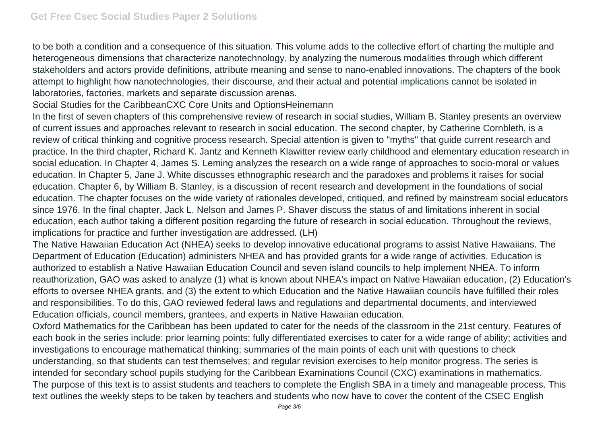to be both a condition and a consequence of this situation. This volume adds to the collective effort of charting the multiple and heterogeneous dimensions that characterize nanotechnology, by analyzing the numerous modalities through which different stakeholders and actors provide definitions, attribute meaning and sense to nano-enabled innovations. The chapters of the book attempt to highlight how nanotechnologies, their discourse, and their actual and potential implications cannot be isolated in laboratories, factories, markets and separate discussion arenas.

Social Studies for the CaribbeanCXC Core Units and OptionsHeinemann

In the first of seven chapters of this comprehensive review of research in social studies, William B. Stanley presents an overview of current issues and approaches relevant to research in social education. The second chapter, by Catherine Cornbleth, is a review of critical thinking and cognitive process research. Special attention is given to "myths" that guide current research and practice. In the third chapter, Richard K. Jantz and Kenneth Klawitter review early childhood and elementary education research in social education. In Chapter 4, James S. Leming analyzes the research on a wide range of approaches to socio-moral or values education. In Chapter 5, Jane J. White discusses ethnographic research and the paradoxes and problems it raises for social education. Chapter 6, by William B. Stanley, is a discussion of recent research and development in the foundations of social education. The chapter focuses on the wide variety of rationales developed, critiqued, and refined by mainstream social educators since 1976. In the final chapter, Jack L. Nelson and James P. Shaver discuss the status of and limitations inherent in social education, each author taking a different position regarding the future of research in social education. Throughout the reviews, implications for practice and further investigation are addressed. (LH)

The Native Hawaiian Education Act (NHEA) seeks to develop innovative educational programs to assist Native Hawaiians. The Department of Education (Education) administers NHEA and has provided grants for a wide range of activities. Education is authorized to establish a Native Hawaiian Education Council and seven island councils to help implement NHEA. To inform reauthorization, GAO was asked to analyze (1) what is known about NHEA's impact on Native Hawaiian education, (2) Education's efforts to oversee NHEA grants, and (3) the extent to which Education and the Native Hawaiian councils have fulfilled their roles and responsibilities. To do this, GAO reviewed federal laws and regulations and departmental documents, and interviewed Education officials, council members, grantees, and experts in Native Hawaiian education.

Oxford Mathematics for the Caribbean has been updated to cater for the needs of the classroom in the 21st century. Features of each book in the series include: prior learning points; fully differentiated exercises to cater for a wide range of ability; activities and investigations to encourage mathematical thinking; summaries of the main points of each unit with questions to check understanding, so that students can test themselves; and regular revision exercises to help monitor progress. The series is intended for secondary school pupils studying for the Caribbean Examinations Council (CXC) examinations in mathematics. The purpose of this text is to assist students and teachers to complete the English SBA in a timely and manageable process. This text outlines the weekly steps to be taken by teachers and students who now have to cover the content of the CSEC English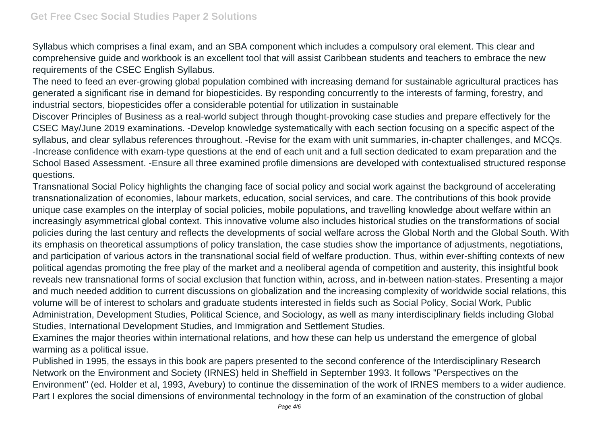Syllabus which comprises a final exam, and an SBA component which includes a compulsory oral element. This clear and comprehensive guide and workbook is an excellent tool that will assist Caribbean students and teachers to embrace the new requirements of the CSEC English Syllabus.

The need to feed an ever-growing global population combined with increasing demand for sustainable agricultural practices has generated a significant rise in demand for biopesticides. By responding concurrently to the interests of farming, forestry, and industrial sectors, biopesticides offer a considerable potential for utilization in sustainable

Discover Principles of Business as a real-world subject through thought-provoking case studies and prepare effectively for the CSEC May/June 2019 examinations. -Develop knowledge systematically with each section focusing on a specific aspect of the syllabus, and clear syllabus references throughout. -Revise for the exam with unit summaries, in-chapter challenges, and MCQs. -Increase confidence with exam-type questions at the end of each unit and a full section dedicated to exam preparation and the School Based Assessment. -Ensure all three examined profile dimensions are developed with contextualised structured response questions.

Transnational Social Policy highlights the changing face of social policy and social work against the background of accelerating transnationalization of economies, labour markets, education, social services, and care. The contributions of this book provide unique case examples on the interplay of social policies, mobile populations, and travelling knowledge about welfare within an increasingly asymmetrical global context. This innovative volume also includes historical studies on the transformations of social policies during the last century and reflects the developments of social welfare across the Global North and the Global South. With its emphasis on theoretical assumptions of policy translation, the case studies show the importance of adjustments, negotiations, and participation of various actors in the transnational social field of welfare production. Thus, within ever-shifting contexts of new political agendas promoting the free play of the market and a neoliberal agenda of competition and austerity, this insightful book reveals new transnational forms of social exclusion that function within, across, and in-between nation-states. Presenting a major and much needed addition to current discussions on globalization and the increasing complexity of worldwide social relations, this volume will be of interest to scholars and graduate students interested in fields such as Social Policy, Social Work, Public Administration, Development Studies, Political Science, and Sociology, as well as many interdisciplinary fields including Global Studies, International Development Studies, and Immigration and Settlement Studies.

Examines the major theories within international relations, and how these can help us understand the emergence of global warming as a political issue.

Published in 1995, the essays in this book are papers presented to the second conference of the Interdisciplinary Research Network on the Environment and Society (IRNES) held in Sheffield in September 1993. It follows "Perspectives on the Environment" (ed. Holder et al, 1993, Avebury) to continue the dissemination of the work of IRNES members to a wider audience. Part I explores the social dimensions of environmental technology in the form of an examination of the construction of global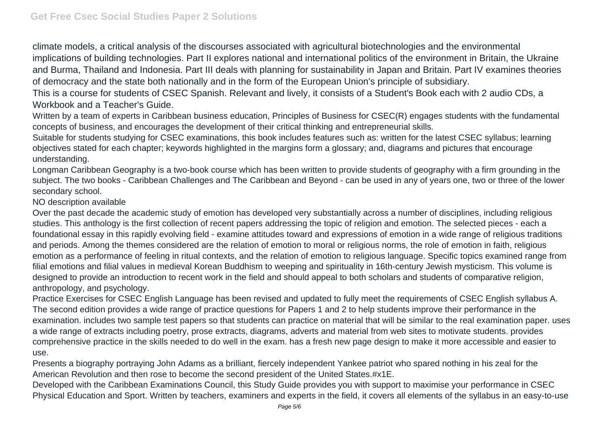climate models, a critical analysis of the discourses associated with agricultural biotechnologies and the environmental implications of building technologies. Part II explores national and international politics of the environment in Britain, the Ukraine and Burma, Thailand and Indonesia. Part III deals with planning for sustainability in Japan and Britain. Part IV examines theories of democracy and the state both nationally and in the form of the European Union's principle of subsidiary.

This is a course for students of CSEC Spanish. Relevant and lively, it consists of a Student's Book each with 2 audio CDs, a Workbook and a Teacher's Guide.

Written by a team of experts in Caribbean business education, Principles of Business for CSEC(R) engages students with the fundamental concepts of business, and encourages the development of their critical thinking and entrepreneurial skills.

Suitable for students studying for CSEC examinations, this book includes features such as: written for the latest CSEC syllabus; learning objectives stated for each chapter; keywords highlighted in the margins form a glossary; and, diagrams and pictures that encourage understanding.

Longman Caribbean Geography is a two-book course which has been written to provide students of geography with a firm grounding in the subject. The two books - Caribbean Challenges and The Caribbean and Beyond - can be used in any of years one, two or three of the lower secondary school.

NO description available

Over the past decade the academic study of emotion has developed very substantially across a number of disciplines, including religious studies. This anthology is the first collection of recent papers addressing the topic of religion and emotion. The selected pieces - each a foundational essay in this rapidly evolving field - examine attitudes toward and expressions of emotion in a wide range of religious traditions and periods. Among the themes considered are the relation of emotion to moral or religious norms, the role of emotion in faith, religious emotion as a performance of feeling in ritual contexts, and the relation of emotion to religious language. Specific topics examined range from filial emotions and filial values in medieval Korean Buddhism to weeping and spirituality in 16th-century Jewish mysticism. This volume is designed to provide an introduction to recent work in the field and should appeal to both scholars and students of comparative religion, anthropology, and psychology.

Practice Exercises for CSEC English Language has been revised and updated to fully meet the requirements of CSEC English syllabus A. The second edition provides a wide range of practice questions for Papers 1 and 2 to help students improve their performance in the examination. includes two sample test papers so that students can practice on material that will be similar to the real examination paper. uses a wide range of extracts including poetry, prose extracts, diagrams, adverts and material from web sites to motivate students. provides comprehensive practice in the skills needed to do well in the exam. has a fresh new page design to make it more accessible and easier to use.

Presents a biography portraying John Adams as a brilliant, fiercely independent Yankee patriot who spared nothing in his zeal for the American Revolution and then rose to become the second president of the United States.#x1E.

Developed with the Caribbean Examinations Council, this Study Guide provides you with support to maximise your performance in CSEC Physical Education and Sport. Written by teachers, examiners and experts in the field, it covers all elements of the syllabus in an easy-to-use